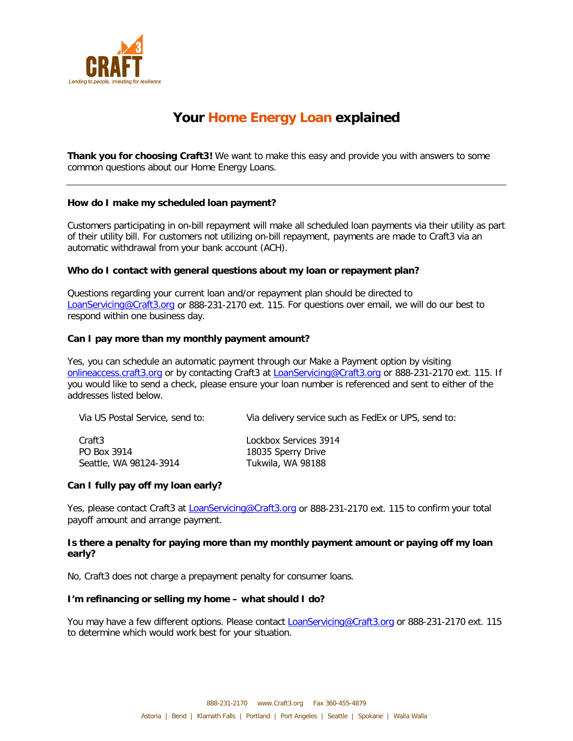

# **Your Home Energy Loan explained**

**Thank you for choosing Craft3!** We want to make this easy and provide you with answers to some common questions about our Home Energy Loans.

# **How do I make my scheduled loan payment?**

Customers participating in on-bill repayment will make all scheduled loan payments via their utility as part of their utility bill. For customers not utilizing on-bill repayment, payments are made to Craft3 via an automatic withdrawal from your bank account (ACH).

### **Who do I contact with general questions about my loan or repayment plan?**

Questions regarding your current loan and/or repayment plan should be directed to [LoanServicing@Craft3.org](mailto:LoanServicing@Craft3.org) or 888-231-2170 ext. 115. For questions over email, we will do our best to respond within one business day.

### **Can I pay more than my monthly payment amount?**

Yes, you can schedule an automatic payment through our Make a Payment option by visiting [onlineaccess.craft3.org](http://onlineaccess.craft3.org/) or by contacting Craft3 at **LoanServicing@Craft3.org** or 888-231-2170 ext. 115. If you would like to send a check, please ensure your loan number is referenced and sent to either of the addresses listed below.

| Via US Postal Service, send to: | Via delivery service such as FedEx or UPS, send to: |
|---------------------------------|-----------------------------------------------------|
| Craft3                          | Lockbox Services 3914                               |
| PO Box 3914                     | 18035 Sperry Drive                                  |
| Seattle, WA 98124-3914          | Tukwila, WA 98188                                   |

# **Can I fully pay off my loan early?**

Yes, please contact Craft3 at [LoanServicing@Craft3.org](mailto:LoanServicing@Craft3.org) or 888-231-2170 ext. 115 to confirm your total payoff amount and arrange payment.

# **Is there a penalty for paying more than my monthly payment amount or paying off my loan early?**

No, Craft3 does not charge a prepayment penalty for consumer loans.

#### **I'm refinancing or selling my home – what should I do?**

You may have a few different options. Please contact **LoanServicing@Craft3.org** or 888-231-2170 ext. 115 to determine which would work best for your situation.